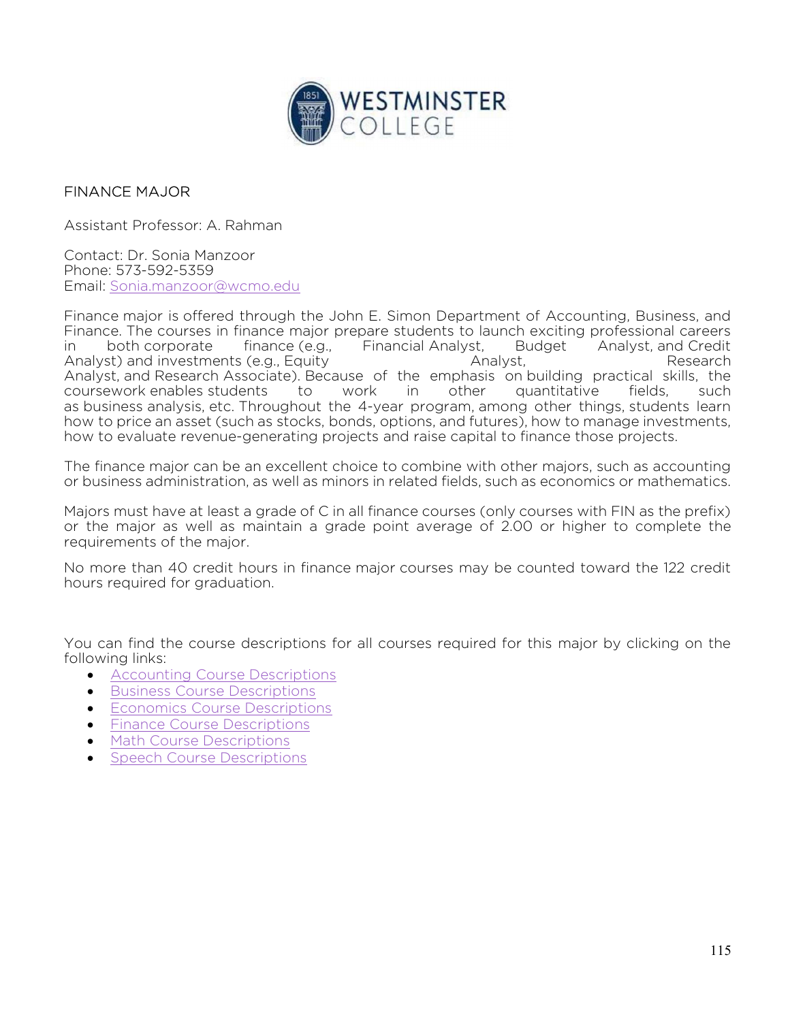

## FINANCE MAJOR

Assistant Professor: A. Rahman

Contact: Dr. Sonia Manzoor Phone: 573-592-5359 Email: Sonia.manzoor@wcmo.edu

Finance major is offered through the John E. Simon Department of Accounting, Business, and Finance. The courses in finance major prepare students to launch exciting professional careers in both corporate finance (e.g., Financial Analyst, Budget Analyst, and Credit Analyst) and investments (e.g., Equity **Analyst, Analyst, Analyst, Research** Analyst, and Research Associate). Because of the emphasis on building practical skills, the coursework enables students to work in other quantitative fields, such as business analysis, etc. Throughout the 4-year program, among other things, students learn how to price an asset (such as stocks, bonds, options, and futures), how to manage investments, how to evaluate revenue-generating projects and raise capital to finance those projects.

The finance major can be an excellent choice to combine with other majors, such as accounting or business administration, as well as minors in related fields, such as economics or mathematics.

Majors must have at least a grade of C in all finance courses (only courses with FIN as the prefix) or the major as well as maintain a grade point average of 2.00 or higher to complete the requirements of the major.

No more than 40 credit hours in finance major courses may be counted toward the 122 credit hours required for graduation.

You can find the course descriptions for all courses required for this major by clicking on the following links:

- **•** Accounting Course Descriptions
- **•** Business Course Descriptions
- Economics Course Descriptions
- Finance Course Descriptions
- Math Course Descriptions
- Speech Course Descriptions